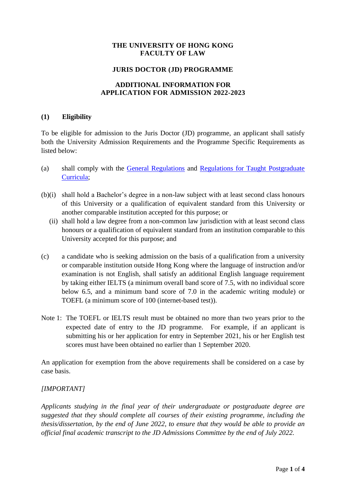# **THE UNIVERSITY OF HONG KONG FACULTY OF LAW**

### **JURIS DOCTOR (JD) PROGRAMME**

#### **ADDITIONAL INFORMATION FOR APPLICATION FOR ADMISSION 2022-2023**

#### **(1) Eligibility**

To be eligible for admission to the Juris Doctor (JD) programme, an applicant shall satisfy both the University Admission Requirements and the Programme Specific Requirements as listed below:

- (a) shall comply with the [General Regulations](https://www4.hku.hk/pubunit/drcd/files/pgdr2021-22/genreg.pdf) and [Regulations for Taught Postgraduate](https://www4.hku.hk/pubunit/drcd/files/pgdr2021-22/tpg-regulations.pdf)  [Curricula;](https://www4.hku.hk/pubunit/drcd/files/pgdr2021-22/tpg-regulations.pdf)
- (b)(i) shall hold a Bachelor's degree in a non-law subject with at least second class honours of this University or a qualification of equivalent standard from this University or another comparable institution accepted for this purpose; or
	- (ii) shall hold a law degree from a non-common law jurisdiction with at least second class honours or a qualification of equivalent standard from an institution comparable to this University accepted for this purpose; and
- (c) a candidate who is seeking admission on the basis of a qualification from a university or comparable institution outside Hong Kong where the language of instruction and/or examination is not English, shall satisfy an additional English language requirement by taking either IELTS (a minimum overall band score of 7.5, with no individual score below 6.5, and a minimum band score of 7.0 in the academic writing module) or TOEFL (a minimum score of 100 (internet-based test)).
- Note 1: The TOEFL or IELTS result must be obtained no more than two years prior to the expected date of entry to the JD programme. For example, if an applicant is submitting his or her application for entry in September 2021, his or her English test scores must have been obtained no earlier than 1 September 2020.

An application for exemption from the above requirements shall be considered on a case by case basis.

### *[IMPORTANT]*

*Applicants studying in the final year of their undergraduate or postgraduate degree are suggested that they should complete all courses of their existing programme, including the thesis/dissertation, by the end of June 2022, to ensure that they would be able to provide an official final academic transcript to the JD Admissions Committee by the end of July 2022.*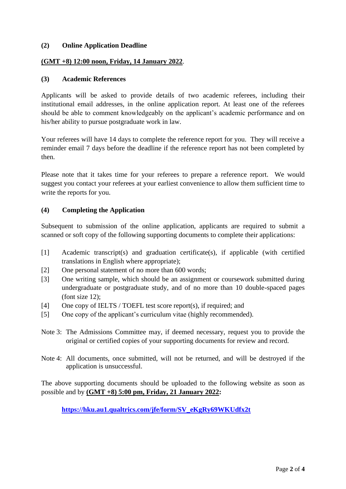### **(2) Online Application Deadline**

#### **(GMT +8) 12:00 noon, Friday, 14 January 2022**.

#### **(3) Academic References**

Applicants will be asked to provide details of two academic referees, including their institutional email addresses, in the online application report. At least one of the referees should be able to comment knowledgeably on the applicant's academic performance and on his/her ability to pursue postgraduate work in law.

Your referees will have 14 days to complete the reference report for you. They will receive a reminder email 7 days before the deadline if the reference report has not been completed by then.

Please note that it takes time for your referees to prepare a reference report. We would suggest you contact your referees at your earliest convenience to allow them sufficient time to write the reports for you.

#### **(4) Completing the Application**

Subsequent to submission of the online application, applicants are required to submit a scanned or soft copy of the following supporting documents to complete their applications:

- [1] Academic transcript(s) and graduation certificate(s), if applicable (with certified translations in English where appropriate);
- [2] One personal statement of no more than 600 words;
- [3] One writing sample, which should be an assignment or coursework submitted during undergraduate or postgraduate study, and of no more than 10 double-spaced pages (font size 12);
- [4] One copy of IELTS / TOEFL test score report(s), if required; and
- [5] One copy of the applicant's curriculum vitae (highly recommended).
- Note 3: The Admissions Committee may, if deemed necessary, request you to provide the original or certified copies of your supporting documents for review and record.
- Note 4: All documents, once submitted, will not be returned, and will be destroyed if the application is unsuccessful.

The above supporting documents should be uploaded to the following website as soon as possible and by **(GMT +8) 5:00 pm, Friday, 21 January 2022:**

**[https://hku.au1.qualtrics.com/jfe/form/SV\\_eKgRy69WKUdfx2t](https://hku.au1.qualtrics.com/jfe/form/SV_eKgRy69WKUdfx2t)**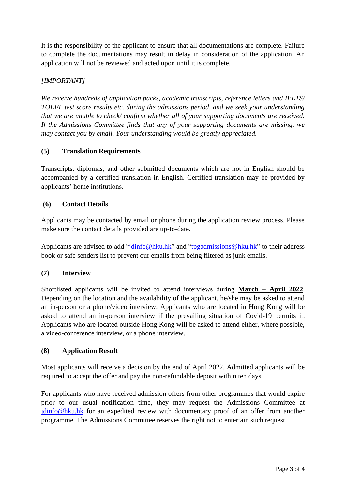It is the responsibility of the applicant to ensure that all documentations are complete. Failure to complete the documentations may result in delay in consideration of the application. An application will not be reviewed and acted upon until it is complete.

# *[IMPORTANT]*

*We receive hundreds of application packs, academic transcripts, reference letters and IELTS/ TOEFL test score results etc. during the admissions period, and we seek your understanding that we are unable to check/ confirm whether all of your supporting documents are received. If the Admissions Committee finds that any of your supporting documents are missing, we may contact you by email. Your understanding would be greatly appreciated.*

# **(5) Translation Requirements**

Transcripts, diplomas, and other submitted documents which are not in English should be accompanied by a certified translation in English. Certified translation may be provided by applicants' home institutions.

### **(6) Contact Details**

Applicants may be contacted by email or phone during the application review process. Please make sure the contact details provided are up-to-date.

Applicants are advised to add ["jdinfo@hku.hk"](mailto:jdinfo@hku.hk) and ["tpgadmissions@hku.hk"](mailto:tpgadmissions@hku.hk) to their address book or safe senders list to prevent our emails from being filtered as junk emails.

### **(7) Interview**

Shortlisted applicants will be invited to attend interviews during **March – April 2022**. Depending on the location and the availability of the applicant, he/she may be asked to attend an in-person or a phone/video interview. Applicants who are located in Hong Kong will be asked to attend an in-person interview if the prevailing situation of Covid-19 permits it. Applicants who are located outside Hong Kong will be asked to attend either, where possible, a video-conference interview, or a phone interview.

### **(8) Application Result**

Most applicants will receive a decision by the end of April 2022. Admitted applicants will be required to accept the offer and pay the non-refundable deposit within ten days.

For applicants who have received admission offers from other programmes that would expire prior to our usual notification time, they may request the Admissions Committee at [jdinfo@hku.hk](mailto:jdinfo@hku.hk) for an expedited review with documentary proof of an offer from another programme. The Admissions Committee reserves the right not to entertain such request.